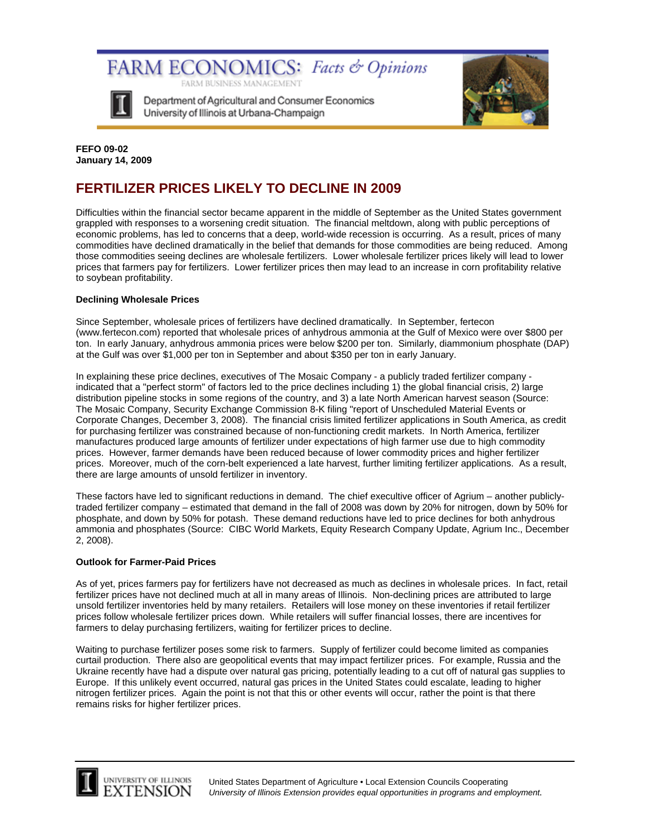FARM ECONOMICS: Facts & Opinions FARM BUSINESS MANAGEMENT



Department of Agricultural and Consumer Economics University of Illinois at Urbana-Champaign



**FEFO 09-02 January 14, 2009** 

# **FERTILIZER PRICES LIKELY TO DECLINE IN 2009**

Difficulties within the financial sector became apparent in the middle of September as the United States government grappled with responses to a worsening credit situation. The financial meltdown, along with public perceptions of economic problems, has led to concerns that a deep, world-wide recession is occurring. As a result, prices of many commodities have declined dramatically in the belief that demands for those commodities are being reduced. Among those commodities seeing declines are wholesale fertilizers. Lower wholesale fertilizer prices likely will lead to lower prices that farmers pay for fertilizers. Lower fertilizer prices then may lead to an increase in corn profitability relative to soybean profitability.

# **Declining Wholesale Prices**

Since September, wholesale prices of fertilizers have declined dramatically. In September, fertecon (www.fertecon.com) reported that wholesale prices of anhydrous ammonia at the Gulf of Mexico were over \$800 per ton. In early January, anhydrous ammonia prices were below \$200 per ton. Similarly, diammonium phosphate (DAP) at the Gulf was over \$1,000 per ton in September and about \$350 per ton in early January.

In explaining these price declines, executives of The Mosaic Company - a publicly traded fertilizer company indicated that a "perfect storm" of factors led to the price declines including 1) the global financial crisis, 2) large distribution pipeline stocks in some regions of the country, and 3) a late North American harvest season (Source: The Mosaic Company, Security Exchange Commission 8-K filing "report of Unscheduled Material Events or Corporate Changes, December 3, 2008). The financial crisis limited fertilizer applications in South America, as credit for purchasing fertilizer was constrained because of non-functioning credit markets. In North America, fertilizer manufactures produced large amounts of fertilizer under expectations of high farmer use due to high commodity prices. However, farmer demands have been reduced because of lower commodity prices and higher fertilizer prices. Moreover, much of the corn-belt experienced a late harvest, further limiting fertilizer applications. As a result, there are large amounts of unsold fertilizer in inventory.

These factors have led to significant reductions in demand. The chief execultive officer of Agrium – another publiclytraded fertilizer company – estimated that demand in the fall of 2008 was down by 20% for nitrogen, down by 50% for phosphate, and down by 50% for potash. These demand reductions have led to price declines for both anhydrous ammonia and phosphates (Source: CIBC World Markets, Equity Research Company Update, Agrium Inc., December 2, 2008).

### **Outlook for Farmer-Paid Prices**

UNIVERSITY OF ILLINOIS EXTENSION

As of yet, prices farmers pay for fertilizers have not decreased as much as declines in wholesale prices. In fact, retail fertilizer prices have not declined much at all in many areas of Illinois. Non-declining prices are attributed to large unsold fertilizer inventories held by many retailers. Retailers will lose money on these inventories if retail fertilizer prices follow wholesale fertilizer prices down. While retailers will suffer financial losses, there are incentives for farmers to delay purchasing fertilizers, waiting for fertilizer prices to decline.

Waiting to purchase fertilizer poses some risk to farmers. Supply of fertilizer could become limited as companies curtail production. There also are geopolitical events that may impact fertilizer prices. For example, Russia and the Ukraine recently have had a dispute over natural gas pricing, potentially leading to a cut off of natural gas supplies to Europe. If this unlikely event occurred, natural gas prices in the United States could escalate, leading to higher nitrogen fertilizer prices. Again the point is not that this or other events will occur, rather the point is that there remains risks for higher fertilizer prices.

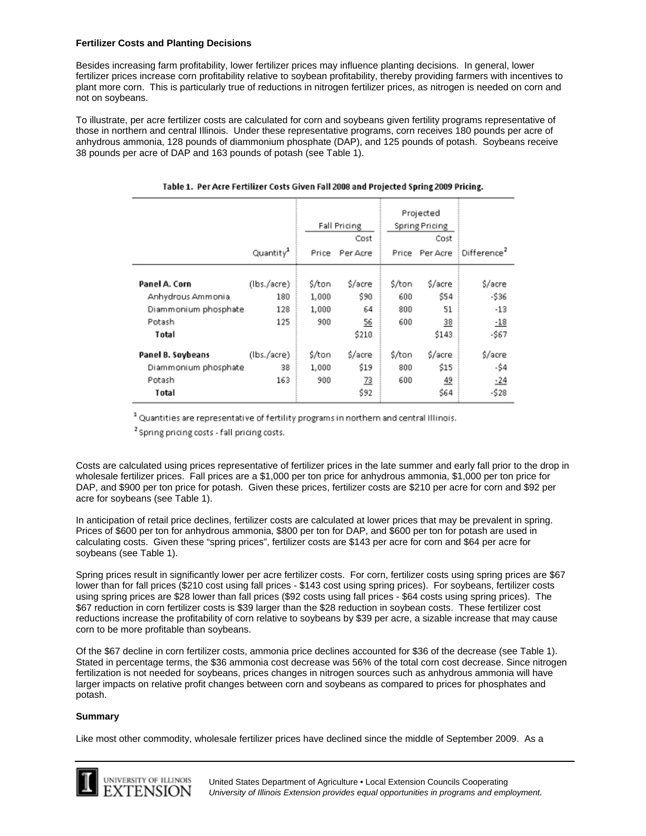## **Fertilizer Costs and Planting Decisions**

Besides increasing farm profitability, lower fertilizer prices may influence planting decisions. In general, lower fertilizer prices increase corn profitability relative to soybean profitability, thereby providing farmers with incentives to plant more corn. This is particularly true of reductions in nitrogen fertilizer prices, as nitrogen is needed on corn and not on soybeans.

To illustrate, per acre fertilizer costs are calculated for corn and soybeans given fertility programs representative of those in northern and central Illinois. Under these representative programs, corn receives 180 pounds per acre of anhydrous ammonia, 128 pounds of diammonium phosphate (DAP), and 125 pounds of potash. Soybeans receive 38 pounds per acre of DAP and 163 pounds of potash (see Table 1).

|                                                                               | Quantity <sup>1</sup>            | Fall Pricing<br>Cost<br>Per Acre<br>Price |                                                  | Projected<br>Spring Pricing<br>Cost<br>Per Acre<br>Price |                                      | Difference <sup>2</sup>                       |
|-------------------------------------------------------------------------------|----------------------------------|-------------------------------------------|--------------------------------------------------|----------------------------------------------------------|--------------------------------------|-----------------------------------------------|
| Panel A. Corn<br>Anhydrous Ammonia<br>Diammonium phosphate<br>Potash<br>Total | (lbs./acre)<br>180<br>128<br>125 | \$/ton<br>1,000<br>1,000<br>900           | \$/acre<br>\$90<br>64<br>$\frac{56}{5}$<br>\$210 | \$/ton<br>600<br>800<br>600                              | \$/acre<br>\$54<br>51<br>38<br>\$143 | \$/acre<br>$-536$<br>$-13$<br>$-18$<br>$-567$ |
| Panel B. Soybeans<br>Diammonium phosphate<br>Potash<br>Total                  | (lbs./acre)<br>38<br>163         | \$/ton<br>1,000<br>900                    | \$/acre<br>\$19<br><u>73</u><br>\$92             | \$/ton<br>800<br>600                                     | \$/acre<br>\$15<br><u>49</u><br>\$64 | \$/acre<br>-\$4<br>$-24$<br>$-528$            |

#### Table 1. Per Acre Fertilizer Costs Given Fall 2008 and Projected Spring 2009 Pricing.

<sup>1</sup> Quantities are representative of fertility programs in northern and central Illinois.

<sup>2</sup> Spring pricing costs - fall pricing costs.

Costs are calculated using prices representative of fertilizer prices in the late summer and early fall prior to the drop in wholesale fertilizer prices. Fall prices are a \$1,000 per ton price for anhydrous ammonia, \$1,000 per ton price for DAP, and \$900 per ton price for potash. Given these prices, fertilizer costs are \$210 per acre for corn and \$92 per acre for soybeans (see Table 1).

In anticipation of retail price declines, fertilizer costs are calculated at lower prices that may be prevalent in spring. Prices of \$600 per ton for anhydrous ammonia, \$800 per ton for DAP, and \$600 per ton for potash are used in calculating costs. Given these "spring prices", fertilizer costs are \$143 per acre for corn and \$64 per acre for soybeans (see Table 1).

Spring prices result in significantly lower per acre fertilizer costs. For corn, fertilizer costs using spring prices are \$67 lower than for fall prices (\$210 cost using fall prices - \$143 cost using spring prices). For soybeans, fertilizer costs using spring prices are \$28 lower than fall prices (\$92 costs using fall prices - \$64 costs using spring prices). The \$67 reduction in corn fertilizer costs is \$39 larger than the \$28 reduction in soybean costs. These fertilizer cost reductions increase the profitability of corn relative to soybeans by \$39 per acre, a sizable increase that may cause corn to be more profitable than soybeans.

Of the \$67 decline in corn fertilizer costs, ammonia price declines accounted for \$36 of the decrease (see Table 1). Stated in percentage terms, the \$36 ammonia cost decrease was 56% of the total corn cost decrease. Since nitrogen fertilization is not needed for soybeans, prices changes in nitrogen sources such as anhydrous ammonia will have larger impacts on relative profit changes between corn and soybeans as compared to prices for phosphates and potash.

### **Summary**

L

Like most other commodity, wholesale fertilizer prices have declined since the middle of September 2009. As a